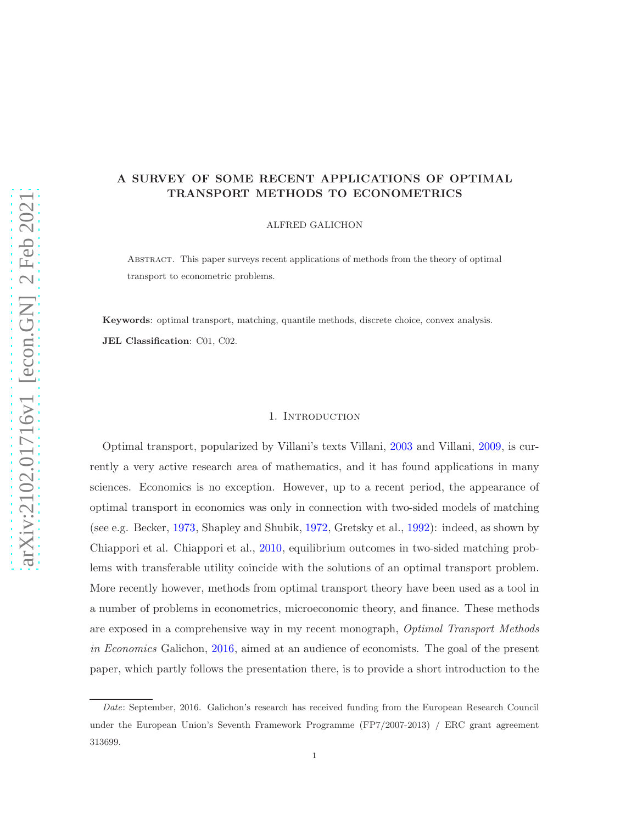# A SURVEY OF SOME RECENT APPLICATIONS OF OPTIMAL TRANSPORT METHODS TO ECONOMETRICS

ALFRED GALICHON

Abstract. This paper surveys recent applications of methods from the theory of optimal transport to econometric problems.

Keywords: optimal transport, matching, quantile methods, discrete choice, convex analysis. JEL Classification: C01, C02.

# 1. Introduction

Optimal transport, popularized by Villani's texts Villani, [2003](#page-15-0) and Villani, [2009](#page-15-1), is currently a very active research area of mathematics, and it has found applications in many sciences. Economics is no exception. However, up to a recent period, the appearance of optimal transport in economics was only in connection with two-sided models of matching (see e.g. Becker, [1973](#page-13-0), Shapley and Shubik, [1972](#page-15-2), Gretsky et al., [1992](#page-14-0)): indeed, as shown by Chiappori et al. Chiappori et al., [2010](#page-13-1), equilibrium outcomes in two-sided matching problems with transferable utility coincide with the solutions of an optimal transport problem. More recently however, methods from optimal transport theory have been used as a tool in a number of problems in econometrics, microeconomic theory, and finance. These methods are exposed in a comprehensive way in my recent monograph, *Optimal Transport Methods in Economics* Galichon, [2016](#page-14-1), aimed at an audience of economists. The goal of the present paper, which partly follows the presentation there, is to provide a short introduction to the

Date: September, 2016. Galichon's research has received funding from the European Research Council under the European Union's Seventh Framework Programme (FP7/2007-2013) / ERC grant agreement 313699.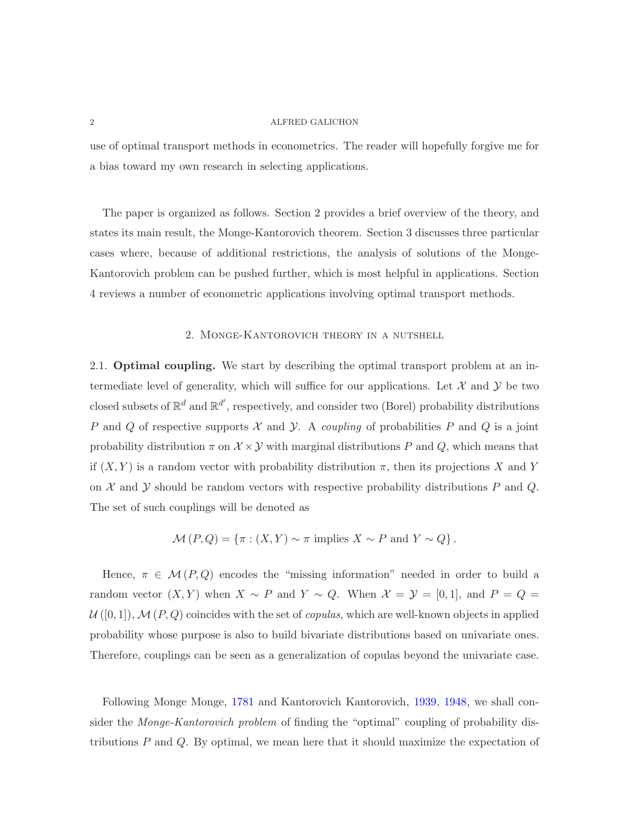use of optimal transport methods in econometrics. The reader will hopefully forgive me for a bias toward my own research in selecting applications.

The paper is organized as follows. Section 2 provides a brief overview of the theory, and states its main result, the Monge-Kantorovich theorem. Section 3 discusses three particular cases where, because of additional restrictions, the analysis of solutions of the Monge-Kantorovich problem can be pushed further, which is most helpful in applications. Section 4 reviews a number of econometric applications involving optimal transport methods.

# 2. Monge-Kantorovich theory in a nutshell

2.1. Optimal coupling. We start by describing the optimal transport problem at an intermediate level of generality, which will suffice for our applications. Let  $\mathcal X$  and  $\mathcal Y$  be two closed subsets of  $\mathbb{R}^d$  and  $\mathbb{R}^{d'}$ , respectively, and consider two (Borel) probability distributions P and Q of respective supports  $\mathcal X$  and  $\mathcal Y$ . A *coupling* of probabilities P and  $Q$  is a joint probability distribution  $\pi$  on  $\mathcal{X} \times \mathcal{Y}$  with marginal distributions P and Q, which means that if  $(X, Y)$  is a random vector with probability distribution  $\pi$ , then its projections X and Y on  $\mathcal X$  and  $\mathcal Y$  should be random vectors with respective probability distributions  $P$  and  $Q$ . The set of such couplings will be denoted as

$$
\mathcal{M}(P,Q) = \{ \pi : (X,Y) \sim \pi \text{ implies } X \sim P \text{ and } Y \sim Q \}.
$$

Hence,  $\pi \in \mathcal{M}(P,Q)$  encodes the "missing information" needed in order to build a random vector  $(X, Y)$  when  $X \sim P$  and  $Y \sim Q$ . When  $\mathcal{X} = \mathcal{Y} = [0, 1]$ , and  $P = Q =$  $U([0,1]), \mathcal{M}(P,Q)$  coincides with the set of *copulas*, which are well-known objects in applied probability whose purpose is also to build bivariate distributions based on univariate ones. Therefore, couplings can be seen as a generalization of copulas beyond the univariate case.

Following Monge Monge, [1781](#page-15-3) and Kantorovich Kantorovich, [1939,](#page-14-2) [1948,](#page-14-3) we shall consider the *Monge-Kantorovich problem* of finding the "optimal" coupling of probability distributions  $P$  and  $Q$ . By optimal, we mean here that it should maximize the expectation of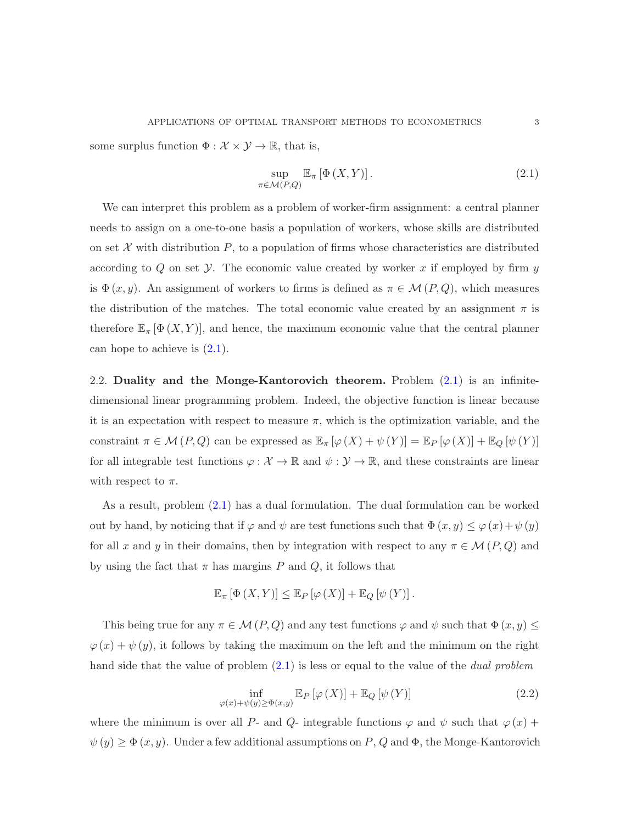some surplus function  $\Phi : \mathcal{X} \times \mathcal{Y} \to \mathbb{R}$ , that is,

<span id="page-2-0"></span>
$$
\sup_{\pi \in \mathcal{M}(P,Q)} \mathbb{E}_{\pi} \left[ \Phi \left( X, Y \right) \right]. \tag{2.1}
$$

We can interpret this problem as a problem of worker-firm assignment: a central planner needs to assign on a one-to-one basis a population of workers, whose skills are distributed on set  $X$  with distribution  $P$ , to a population of firms whose characteristics are distributed according to  $Q$  on set  $Y$ . The economic value created by worker x if employed by firm  $y$ is  $\Phi(x, y)$ . An assignment of workers to firms is defined as  $\pi \in \mathcal{M}(P, Q)$ , which measures the distribution of the matches. The total economic value created by an assignment  $\pi$  is therefore  $\mathbb{E}_{\pi}[\Phi(X,Y)]$ , and hence, the maximum economic value that the central planner can hope to achieve is  $(2.1)$ .

2.2. Duality and the Monge-Kantorovich theorem. Problem [\(2.1\)](#page-2-0) is an infinitedimensional linear programming problem. Indeed, the objective function is linear because it is an expectation with respect to measure  $\pi$ , which is the optimization variable, and the constraint  $\pi \in \mathcal{M}(P,Q)$  can be expressed as  $\mathbb{E}_{\pi}[\varphi(X) + \psi(Y)] = \mathbb{E}_{P}[\varphi(X)] + \mathbb{E}_{Q}[\psi(Y)]$ for all integrable test functions  $\varphi : \mathcal{X} \to \mathbb{R}$  and  $\psi : \mathcal{Y} \to \mathbb{R}$ , and these constraints are linear with respect to  $\pi$ .

As a result, problem [\(2.1\)](#page-2-0) has a dual formulation. The dual formulation can be worked out by hand, by noticing that if  $\varphi$  and  $\psi$  are test functions such that  $\Phi(x, y) \le \varphi(x) + \psi(y)$ for all x and y in their domains, then by integration with respect to any  $\pi \in \mathcal{M}(P,Q)$  and by using the fact that  $\pi$  has margins P and Q, it follows that

$$
\mathbb{E}_{\pi} [\Phi(X, Y)] \leq \mathbb{E}_{P} [\varphi(X)] + \mathbb{E}_{Q} [\psi(Y)].
$$

This being true for any  $\pi \in \mathcal{M}(P,Q)$  and any test functions  $\varphi$  and  $\psi$  such that  $\Phi(x, y) \leq \pi$  $\varphi(x) + \psi(y)$ , it follows by taking the maximum on the left and the minimum on the right hand side that the value of problem [\(2.1\)](#page-2-0) is less or equal to the value of the *dual problem*

<span id="page-2-1"></span>
$$
\inf_{\varphi(x)+\psi(y)\geq\Phi(x,y)}\mathbb{E}_P\left[\varphi\left(X\right)\right]+\mathbb{E}_Q\left[\psi\left(Y\right)\right]
$$
\n(2.2)

where the minimum is over all P- and Q- integrable functions  $\varphi$  and  $\psi$  such that  $\varphi(x)$  +  $\psi(y) \ge \Phi(x, y)$ . Under a few additional assumptions on P, Q and  $\Phi$ , the Monge-Kantorovich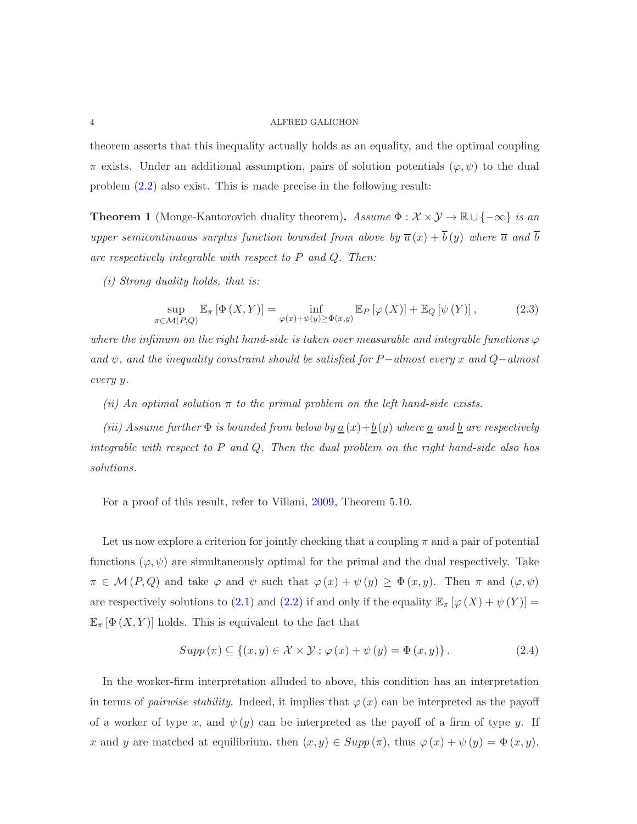theorem asserts that this inequality actually holds as an equality, and the optimal coupling  $\pi$  exists. Under an additional assumption, pairs of solution potentials  $(\varphi, \psi)$  to the dual problem [\(2.2\)](#page-2-1) also exist. This is made precise in the following result:

**Theorem 1** (Monge-Kantorovich duality theorem). *Assume*  $\Phi : \mathcal{X} \times \mathcal{Y} \to \mathbb{R} \cup \{-\infty\}$  *is an upper semicontinuous surplus function bounded from above by*  $\bar{a}(x) + \bar{b}(y)$  *where*  $\bar{a}$  *and*  $\bar{b}$ *are respectively integrable with respect to* P *and* Q*. Then:*

*(i) Strong duality holds, that is:*

<span id="page-3-0"></span>
$$
\sup_{\pi \in \mathcal{M}(P,Q)} \mathbb{E}_{\pi} \left[ \Phi \left( X, Y \right) \right] = \inf_{\varphi(x) + \psi(y) \ge \Phi(x,y)} \mathbb{E}_{P} \left[ \varphi \left( X \right) \right] + \mathbb{E}_{Q} \left[ \psi \left( Y \right) \right],\tag{2.3}
$$

where the infimum on the right hand-side is taken over measurable and integrable functions  $\varphi$ *and* ψ*, and the inequality constraint should be satisfied for* P−*almost every* x *and* Q−*almost every* y*.*

*(ii) An optimal solution* π *to the primal problem on the left hand-side exists.*

*(iii)* Assume further  $\Phi$  *is bounded from below by*  $\underline{a}(x) + \underline{b}(y)$  *where*  $\underline{a}$  *and*  $\underline{b}$  *are respectively integrable with respect to* P *and* Q*. Then the dual problem on the right hand-side also has solutions.*

For a proof of this result, refer to Villani, [2009](#page-15-1), Theorem 5.10.

Let us now explore a criterion for jointly checking that a coupling  $\pi$  and a pair of potential functions  $(\varphi, \psi)$  are simultaneously optimal for the primal and the dual respectively. Take  $\pi \in \mathcal{M}(P,Q)$  and take  $\varphi$  and  $\psi$  such that  $\varphi(x) + \psi(y) \geq \Phi(x,y)$ . Then  $\pi$  and  $(\varphi, \psi)$ are respectively solutions to [\(2.1\)](#page-2-0) and [\(2.2\)](#page-2-1) if and only if the equality  $\mathbb{E}_{\pi} [\varphi(X) + \psi(Y)] =$  $\mathbb{E}_{\pi}[\Phi(X,Y)]$  holds. This is equivalent to the fact that

<span id="page-3-1"></span>
$$
Supp(\pi) \subseteq \{(x, y) \in \mathcal{X} \times \mathcal{Y} : \varphi(x) + \psi(y) = \Phi(x, y)\}.
$$
\n(2.4)

In the worker-firm interpretation alluded to above, this condition has an interpretation in terms of *pairwise stability*. Indeed, it implies that  $\varphi(x)$  can be interpreted as the payoff of a worker of type x, and  $\psi(y)$  can be interpreted as the payoff of a firm of type y. If x and y are matched at equilibrium, then  $(x, y) \in Supp(\pi)$ , thus  $\varphi(x) + \psi(y) = \Phi(x, y)$ ,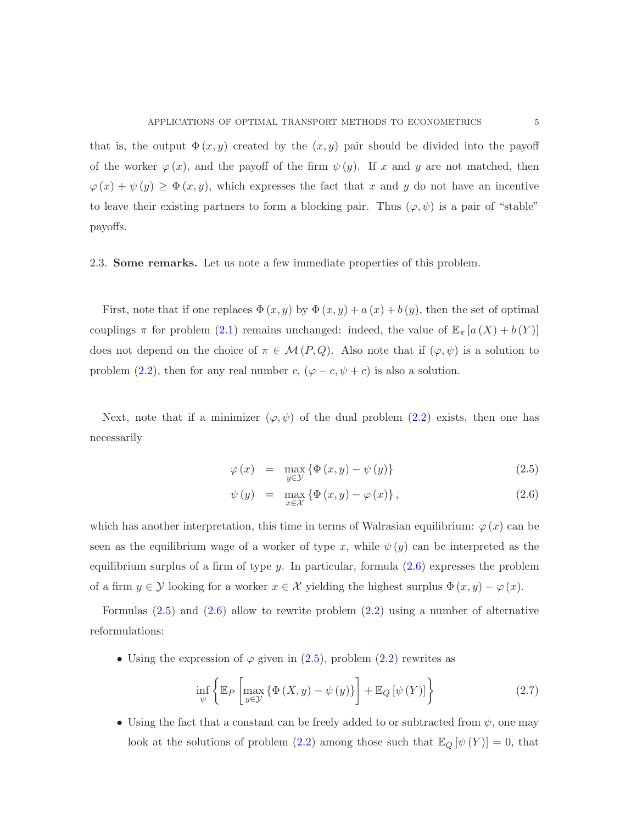that is, the output  $\Phi(x, y)$  created by the  $(x, y)$  pair should be divided into the payoff of the worker  $\varphi(x)$ , and the payoff of the firm  $\psi(y)$ . If x and y are not matched, then  $\varphi(x) + \psi(y) \geq \Phi(x, y)$ , which expresses the fact that x and y do not have an incentive to leave their existing partners to form a blocking pair. Thus  $(\varphi, \psi)$  is a pair of "stable" payoffs.

2.3. Some remarks. Let us note a few immediate properties of this problem.

First, note that if one replaces  $\Phi(x, y)$  by  $\Phi(x, y) + a(x) + b(y)$ , then the set of optimal couplings  $\pi$  for problem [\(2.1\)](#page-2-0) remains unchanged: indeed, the value of  $\mathbb{E}_{\pi} [a(X) + b(Y)]$ does not depend on the choice of  $\pi \in \mathcal{M}(P,Q)$ . Also note that if  $(\varphi, \psi)$  is a solution to problem [\(2.2\)](#page-2-1), then for any real number c,  $(\varphi - c, \psi + c)$  is also a solution.

Next, note that if a minimizer  $(\varphi, \psi)$  of the dual problem [\(2.2\)](#page-2-1) exists, then one has necessarily

<span id="page-4-0"></span>
$$
\varphi(x) = \max_{y \in \mathcal{Y}} \{ \Phi(x, y) - \psi(y) \}
$$
\n(2.5)

$$
\psi(y) = \max_{x \in \mathcal{X}} \left\{ \Phi(x, y) - \varphi(x) \right\},\tag{2.6}
$$

which has another interpretation, this time in terms of Walrasian equilibrium:  $\varphi(x)$  can be seen as the equilibrium wage of a worker of type x, while  $\psi(y)$  can be interpreted as the equilibrium surplus of a firm of type  $y$ . In particular, formula  $(2.6)$  expresses the problem of a firm  $y \in \mathcal{Y}$  looking for a worker  $x \in \mathcal{X}$  yielding the highest surplus  $\Phi(x, y) - \varphi(x)$ .

Formulas [\(2.5\)](#page-4-0) and [\(2.6\)](#page-4-0) allow to rewrite problem [\(2.2\)](#page-2-1) using a number of alternative reformulations:

• Using the expression of  $\varphi$  given in  $(2.5)$ , problem  $(2.2)$  rewrites as

<span id="page-4-1"></span>
$$
\inf_{\psi} \left\{ \mathbb{E}_{P} \left[ \max_{y \in \mathcal{Y}} \left\{ \Phi \left( X, y \right) - \psi \left( y \right) \right\} \right] + \mathbb{E}_{Q} \left[ \psi \left( Y \right) \right] \right\} \tag{2.7}
$$

• Using the fact that a constant can be freely added to or subtracted from  $\psi$ , one may look at the solutions of problem [\(2.2\)](#page-2-1) among those such that  $\mathbb{E}_Q \left[ \psi(Y) \right] = 0$ , that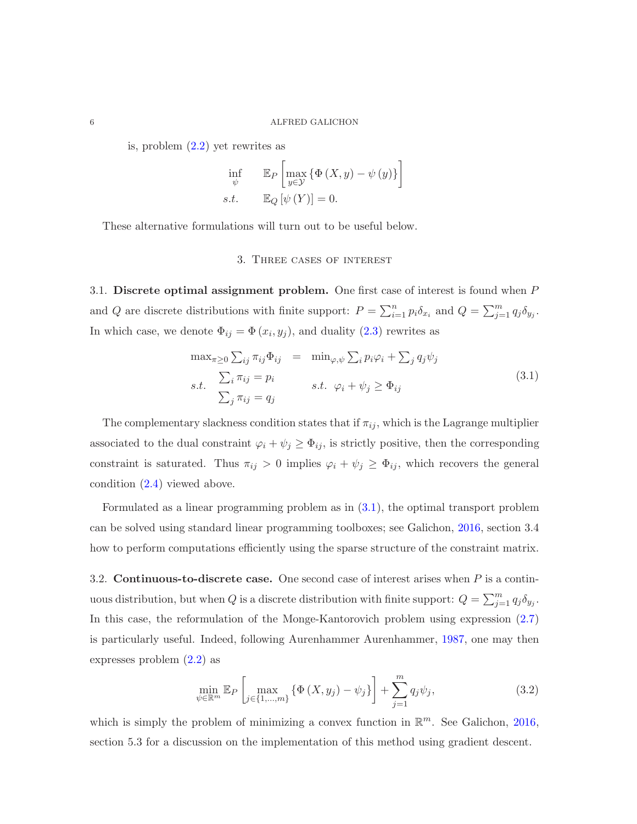is, problem [\(2.2\)](#page-2-1) yet rewrites as

$$
\inf_{\psi} \qquad \mathbb{E}_{P} \left[ \max_{y \in \mathcal{Y}} \{ \Phi \left( X, y \right) - \psi \left( y \right) \} \right]
$$
\n
$$
s.t. \qquad \mathbb{E}_{Q} \left[ \psi \left( Y \right) \right] = 0.
$$

These alternative formulations will turn out to be useful below.

## 3. Three cases of interest

3.1. Discrete optimal assignment problem. One first case of interest is found when P and Q are discrete distributions with finite support:  $P = \sum_{i=1}^{n} p_i \delta_{x_i}$  and  $Q = \sum_{j=1}^{m} q_j \delta_{y_j}$ . In which case, we denote  $\Phi_{ij} = \Phi(x_i, y_j)$ , and duality  $(2.3)$  rewrites as

<span id="page-5-0"></span>
$$
\max_{\pi \geq 0} \sum_{ij} \pi_{ij} \Phi_{ij} = \min_{\varphi, \psi} \sum_{i} p_i \varphi_i + \sum_{j} q_j \psi_j
$$
  
s.t. 
$$
\sum_{j} \pi_{ij} = p_i
$$
  

$$
\sum_{j} \pi_{ij} = q_j
$$
 (3.1)

The complementary slackness condition states that if  $\pi_{ij}$ , which is the Lagrange multiplier associated to the dual constraint  $\varphi_i + \psi_j \geq \Phi_{ij}$ , is strictly positive, then the corresponding constraint is saturated. Thus  $\pi_{ij} > 0$  implies  $\varphi_i + \psi_j \geq \Phi_{ij}$ , which recovers the general condition [\(2.4\)](#page-3-1) viewed above.

Formulated as a linear programming problem as in [\(3.1\)](#page-5-0), the optimal transport problem can be solved using standard linear programming toolboxes; see Galichon, [2016](#page-14-1), section 3.4 how to perform computations efficiently using the sparse structure of the constraint matrix.

3.2. **Continuous-to-discrete case.** One second case of interest arises when  $P$  is a continuous distribution, but when Q is a discrete distribution with finite support:  $Q = \sum_{j=1}^{m} q_j \delta_{y_j}$ . In this case, the reformulation of the Monge-Kantorovich problem using expression [\(2.7\)](#page-4-1) is particularly useful. Indeed, following Aurenhammer Aurenhammer, [1987](#page-13-2), one may then expresses problem [\(2.2\)](#page-2-1) as

<span id="page-5-1"></span>
$$
\min_{\psi \in \mathbb{R}^m} \mathbb{E}_P \left[ \max_{j \in \{1, \dots, m\}} \{ \Phi \left( X, y_j \right) - \psi_j \} \right] + \sum_{j=1}^m q_j \psi_j,
$$
\n(3.2)

which is simply the problem of minimizing a convex function in  $\mathbb{R}^m$ . See Galichon, [2016](#page-14-1), section 5.3 for a discussion on the implementation of this method using gradient descent.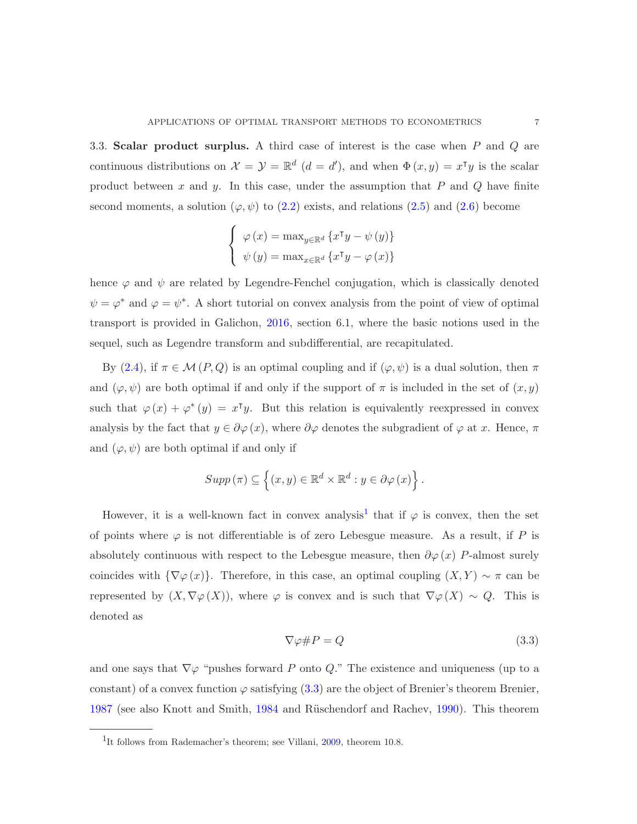3.3. Scalar product surplus. A third case of interest is the case when P and Q are continuous distributions on  $\mathcal{X} = \mathcal{Y} = \mathbb{R}^d$   $(d = d')$ , and when  $\Phi(x, y) = x^{\intercal}y$  is the scalar product between  $x$  and  $y$ . In this case, under the assumption that  $P$  and  $Q$  have finite second moments, a solution ( $\varphi, \psi$ ) to [\(2.2\)](#page-2-1) exists, and relations [\(2.5\)](#page-4-0) and [\(2.6\)](#page-4-0) become

$$
\begin{cases} \varphi(x) = \max_{y \in \mathbb{R}^d} \{x^\intercal y - \psi(y)\} \\ \psi(y) = \max_{x \in \mathbb{R}^d} \{x^\intercal y - \varphi(x)\} \end{cases}
$$

hence  $\varphi$  and  $\psi$  are related by Legendre-Fenchel conjugation, which is classically denoted  $\psi = \varphi^*$  and  $\varphi = \psi^*$ . A short tutorial on convex analysis from the point of view of optimal transport is provided in Galichon, [2016](#page-14-1), section 6.1, where the basic notions used in the sequel, such as Legendre transform and subdifferential, are recapitulated.

By [\(2.4\)](#page-3-1), if  $\pi \in \mathcal{M}(P,Q)$  is an optimal coupling and if  $(\varphi, \psi)$  is a dual solution, then  $\pi$ and  $(\varphi, \psi)$  are both optimal if and only if the support of  $\pi$  is included in the set of  $(x, y)$ such that  $\varphi(x) + \varphi^*(y) = x^{\mathsf{T}}y$ . But this relation is equivalently reexpressed in convex analysis by the fact that  $y \in \partial \varphi(x)$ , where  $\partial \varphi$  denotes the subgradient of  $\varphi$  at x. Hence,  $\pi$ and  $(\varphi, \psi)$  are both optimal if and only if

$$
Supp(\pi) \subseteq \left\{ (x, y) \in \mathbb{R}^d \times \mathbb{R}^d : y \in \partial \varphi(x) \right\}.
$$

However, it is a well-known fact in convex analysis<sup>[1](#page-6-0)</sup> that if  $\varphi$  is convex, then the set of points where  $\varphi$  is not differentiable is of zero Lebesgue measure. As a result, if P is absolutely continuous with respect to the Lebesgue measure, then  $\partial \varphi(x)$  P-almost surely coincides with  ${\nabla \varphi(x)}$ . Therefore, in this case, an optimal coupling  $(X, Y) \sim \pi$  can be represented by  $(X, \nabla \varphi(X))$ , where  $\varphi$  is convex and is such that  $\nabla \varphi(X) \sim Q$ . This is denoted as

<span id="page-6-1"></span>
$$
\nabla \varphi \# P = Q \tag{3.3}
$$

and one says that  $\nabla\varphi$  "pushes forward P onto Q." The existence and uniqueness (up to a constant) of a convex function  $\varphi$  satisfying [\(3.3\)](#page-6-1) are the object of Brenier's theorem Brenier. [1987](#page-13-3) (see also Knott and Smith, [1984](#page-14-4) and Rüschendorf and Rachev, [1990](#page-15-4)). This theorem

<span id="page-6-0"></span><sup>&</sup>lt;sup>1</sup>It follows from Rademacher's theorem; see Villani, [2009](#page-15-1), theorem 10.8.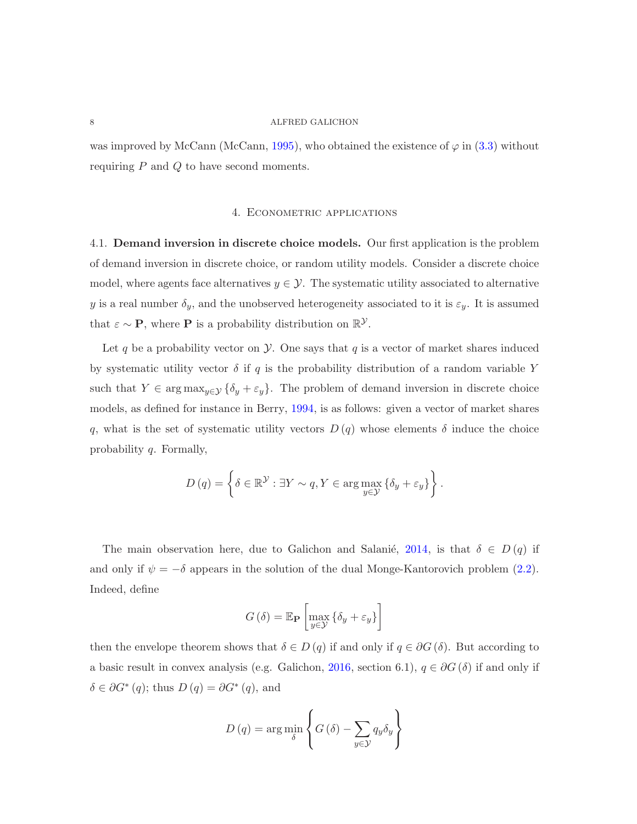was improved by McCann (McCann, [1995\)](#page-14-5), who obtained the existence of  $\varphi$  in [\(3.3\)](#page-6-1) without requiring  $P$  and  $Q$  to have second moments.

# 4. Econometric applications

4.1. Demand inversion in discrete choice models. Our first application is the problem of demand inversion in discrete choice, or random utility models. Consider a discrete choice model, where agents face alternatives  $y \in \mathcal{Y}$ . The systematic utility associated to alternative y is a real number  $\delta_y$ , and the unobserved heterogeneity associated to it is  $\varepsilon_y$ . It is assumed that  $\varepsilon \sim \mathbf{P}$ , where **P** is a probability distribution on  $\mathbb{R}^{\mathcal{Y}}$ .

Let q be a probability vector on  $\mathcal Y$ . One says that q is a vector of market shares induced by systematic utility vector  $\delta$  if q is the probability distribution of a random variable Y such that  $Y \in \arg \max_{y \in \mathcal{Y}} {\{\delta_y + \varepsilon_y\}}$ . The problem of demand inversion in discrete choice models, as defined for instance in Berry, [1994,](#page-13-4) is as follows: given a vector of market shares q, what is the set of systematic utility vectors  $D(q)$  whose elements  $\delta$  induce the choice probability q. Formally,

$$
D(q) = \left\{ \delta \in \mathbb{R}^{\mathcal{Y}} : \exists Y \sim q, Y \in \arg \max_{y \in \mathcal{Y}} \left\{ \delta_y + \varepsilon_y \right\} \right\}.
$$

The main observation here, due to Galichon and Salanie, [2014](#page-14-6), is that  $\delta \in D(q)$  if and only if  $\psi = -\delta$  appears in the solution of the dual Monge-Kantorovich problem [\(2.2\)](#page-2-1). Indeed, define

$$
G(\delta) = \mathbb{E}_{\mathbf{P}} \left[ \max_{y \in \mathcal{Y}} \left\{ \delta_y + \varepsilon_y \right\} \right]
$$

then the envelope theorem shows that  $\delta \in D(q)$  if and only if  $q \in \partial G(\delta)$ . But according to a basic result in convex analysis (e.g. Galichon, [2016](#page-14-1), section 6.1),  $q \in \partial G$  ( $\delta$ ) if and only if  $\delta \in \partial G^*(q)$ ; thus  $D(q) = \partial G^*(q)$ , and

$$
D(q) = \arg\min_{\delta} \left\{ G(\delta) - \sum_{y \in \mathcal{Y}} q_y \delta_y \right\}
$$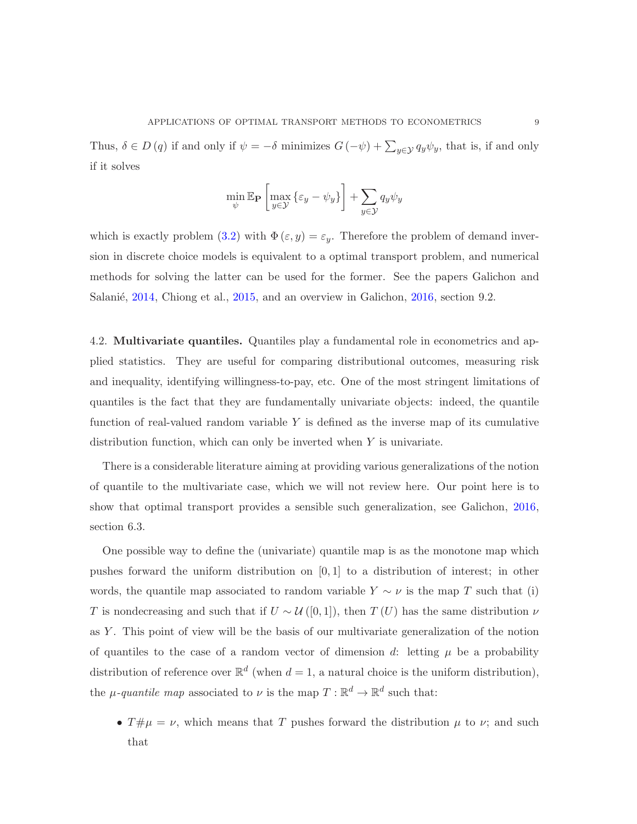Thus,  $\delta \in D(q)$  if and only if  $\psi = -\delta$  minimizes  $G(-\psi) + \sum_{y \in \mathcal{Y}} q_y \psi_y$ , that is, if and only if it solves

$$
\min_{\psi} \mathbb{E}_{\mathbf{P}} \left[ \max_{y \in \mathcal{Y}} \left\{ \varepsilon_y - \psi_y \right\} \right] + \sum_{y \in \mathcal{Y}} q_y \psi_y
$$

which is exactly problem [\(3.2\)](#page-5-1) with  $\Phi(\varepsilon, y) = \varepsilon_y$ . Therefore the problem of demand inversion in discrete choice models is equivalent to a optimal transport problem, and numerical methods for solving the latter can be used for the former. See the papers Galichon and Salanié, [2014,](#page-14-6) Chiong et al., [2015,](#page-13-5) and an overview in Galichon, [2016](#page-14-1), section 9.2.

4.2. Multivariate quantiles. Quantiles play a fundamental role in econometrics and applied statistics. They are useful for comparing distributional outcomes, measuring risk and inequality, identifying willingness-to-pay, etc. One of the most stringent limitations of quantiles is the fact that they are fundamentally univariate objects: indeed, the quantile function of real-valued random variable  $Y$  is defined as the inverse map of its cumulative distribution function, which can only be inverted when  $Y$  is univariate.

There is a considerable literature aiming at providing various generalizations of the notion of quantile to the multivariate case, which we will not review here. Our point here is to show that optimal transport provides a sensible such generalization, see Galichon, [2016](#page-14-1), section 6.3.

One possible way to define the (univariate) quantile map is as the monotone map which pushes forward the uniform distribution on  $[0, 1]$  to a distribution of interest; in other words, the quantile map associated to random variable  $Y \sim \nu$  is the map T such that (i) T is nondecreasing and such that if  $U \sim \mathcal{U}([0,1])$ , then  $T(U)$  has the same distribution  $\nu$ as Y . This point of view will be the basis of our multivariate generalization of the notion of quantiles to the case of a random vector of dimension d: letting  $\mu$  be a probability distribution of reference over  $\mathbb{R}^d$  (when  $d=1$ , a natural choice is the uniform distribution), the  $\mu$ -quantile map associated to  $\nu$  is the map  $T : \mathbb{R}^d \to \mathbb{R}^d$  such that:

•  $T\#\mu = \nu$ , which means that T pushes forward the distribution  $\mu$  to  $\nu$ ; and such that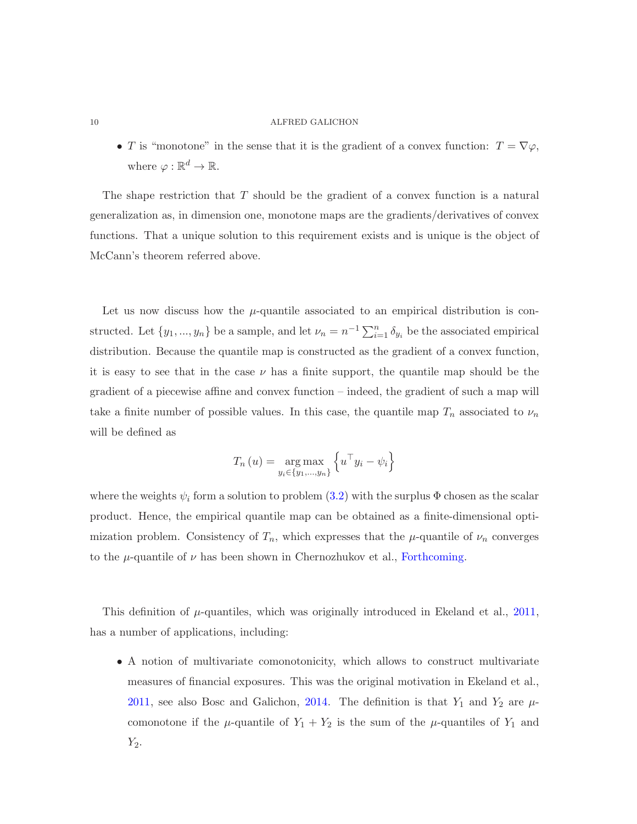• T is "monotone" in the sense that it is the gradient of a convex function:  $T = \nabla \varphi$ , where  $\varphi : \mathbb{R}^d \to \mathbb{R}$ .

The shape restriction that  $T$  should be the gradient of a convex function is a natural generalization as, in dimension one, monotone maps are the gradients/derivatives of convex functions. That a unique solution to this requirement exists and is unique is the object of McCann's theorem referred above.

Let us now discuss how the  $\mu$ -quantile associated to an empirical distribution is constructed. Let  $\{y_1, ..., y_n\}$  be a sample, and let  $\nu_n = n^{-1} \sum_{i=1}^n \delta_{y_i}$  be the associated empirical distribution. Because the quantile map is constructed as the gradient of a convex function, it is easy to see that in the case  $\nu$  has a finite support, the quantile map should be the gradient of a piecewise affine and convex function – indeed, the gradient of such a map will take a finite number of possible values. In this case, the quantile map  $T_n$  associated to  $\nu_n$ will be defined as

$$
T_n(u) = \underset{y_i \in \{y_1, \ldots, y_n\}}{\arg \max} \left\{ u^\top y_i - \psi_i \right\}
$$

where the weights  $\psi_i$  form a solution to problem  $(3.2)$  with the surplus  $\Phi$  chosen as the scalar product. Hence, the empirical quantile map can be obtained as a finite-dimensional optimization problem. Consistency of  $T_n$ , which expresses that the  $\mu$ -quantile of  $\nu_n$  converges to the  $\mu$ -quantile of  $\nu$  has been shown in Chernozhukov et al., [Forthcoming](#page-13-6).

This definition of  $\mu$ -quantiles, which was originally introduced in Ekeland et al., [2011](#page-14-7), has a number of applications, including:

• A notion of multivariate comonotonicity, which allows to construct multivariate measures of financial exposures. This was the original motivation in Ekeland et al., [2011](#page-14-7), see also Bosc and Galichon, [2014](#page-13-7). The definition is that  $Y_1$  and  $Y_2$  are  $\mu$ comonotone if the  $\mu$ -quantile of  $Y_1 + Y_2$  is the sum of the  $\mu$ -quantiles of  $Y_1$  and  $Y_2$ .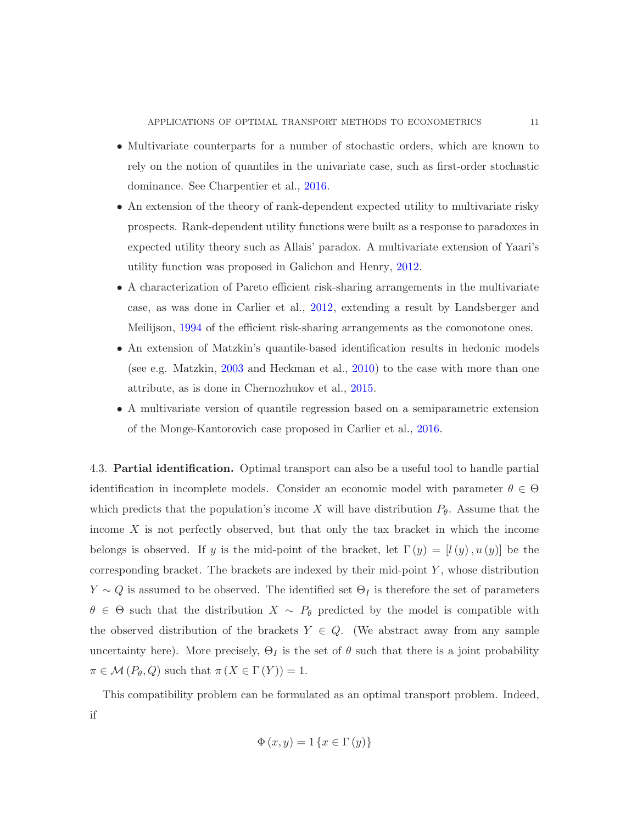- Multivariate counterparts for a number of stochastic orders, which are known to rely on the notion of quantiles in the univariate case, such as first-order stochastic dominance. See Charpentier et al., [2016](#page-13-8).
- An extension of the theory of rank-dependent expected utility to multivariate risky prospects. Rank-dependent utility functions were built as a response to paradoxes in expected utility theory such as Allais' paradox. A multivariate extension of Yaari's utility function was proposed in Galichon and Henry, [2012.](#page-14-8)
- A characterization of Pareto efficient risk-sharing arrangements in the multivariate case, as was done in Carlier et al., [2012](#page-13-9), extending a result by Landsberger and Meilijson, [1994](#page-14-9) of the efficient risk-sharing arrangements as the comonotone ones.
- An extension of Matzkin's quantile-based identification results in hedonic models (see e.g. Matzkin, [2003](#page-14-10) and Heckman et al., [2010](#page-14-11)) to the case with more than one attribute, as is done in Chernozhukov et al., [2015.](#page-13-10)
- A multivariate version of quantile regression based on a semiparametric extension of the Monge-Kantorovich case proposed in Carlier et al., [2016](#page-13-11).

4.3. Partial identification. Optimal transport can also be a useful tool to handle partial identification in incomplete models. Consider an economic model with parameter  $\theta \in \Theta$ which predicts that the population's income X will have distribution  $P_{\theta}$ . Assume that the income  $X$  is not perfectly observed, but that only the tax bracket in which the income belongs is observed. If y is the mid-point of the bracket, let  $\Gamma(y) = [l(y), u(y)]$  be the corresponding bracket. The brackets are indexed by their mid-point  $Y$ , whose distribution  $Y \sim Q$  is assumed to be observed. The identified set  $\Theta_I$  is therefore the set of parameters  $\theta \in \Theta$  such that the distribution  $X \sim P_{\theta}$  predicted by the model is compatible with the observed distribution of the brackets  $Y \in Q$ . (We abstract away from any sample uncertainty here). More precisely,  $\Theta_I$  is the set of  $\theta$  such that there is a joint probability  $\pi \in \mathcal{M}(P_{\theta}, Q)$  such that  $\pi (X \in \Gamma(Y)) = 1$ .

This compatibility problem can be formulated as an optimal transport problem. Indeed, if

$$
\Phi(x, y) = 1\left\{x \in \Gamma(y)\right\}
$$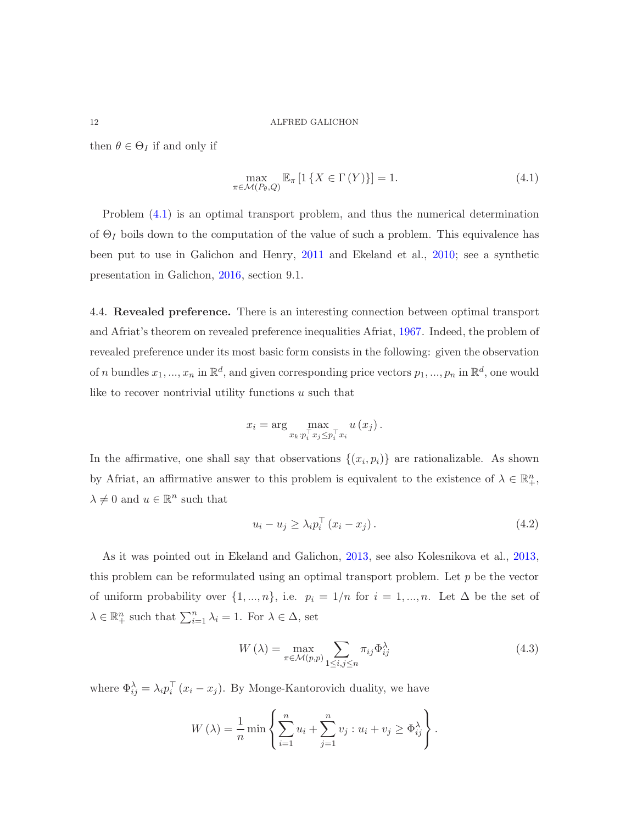then  $\theta \in \Theta_I$  if and only if

<span id="page-11-0"></span>
$$
\max_{\pi \in \mathcal{M}(P_{\theta}, Q)} \mathbb{E}_{\pi} \left[ 1 \left\{ X \in \Gamma \left( Y \right) \right\} \right] = 1. \tag{4.1}
$$

Problem [\(4.1\)](#page-11-0) is an optimal transport problem, and thus the numerical determination of  $\Theta_I$  boils down to the computation of the value of such a problem. This equivalence has been put to use in Galichon and Henry, [2011](#page-14-12) and Ekeland et al., [2010](#page-14-13); see a synthetic presentation in Galichon, [2016](#page-14-1), section 9.1.

4.4. Revealed preference. There is an interesting connection between optimal transport and Afriat's theorem on revealed preference inequalities Afriat, [1967](#page-13-12). Indeed, the problem of revealed preference under its most basic form consists in the following: given the observation of n bundles  $x_1, ..., x_n$  in  $\mathbb{R}^d$ , and given corresponding price vectors  $p_1, ..., p_n$  in  $\mathbb{R}^d$ , one would like to recover nontrivial utility functions  $u$  such that

$$
x_i = \arg \max_{x_k : p_i^\top x_j \leq p_i^\top x_i} u(x_j).
$$

In the affirmative, one shall say that observations  $\{(x_i, p_i)\}\$  are rationalizable. As shown by Afriat, an affirmative answer to this problem is equivalent to the existence of  $\lambda \in \mathbb{R}^n_+$ ,  $\lambda \neq 0$  and  $u \in \mathbb{R}^n$  such that

<span id="page-11-2"></span>
$$
u_i - u_j \ge \lambda_i p_i^{\top} (x_i - x_j). \tag{4.2}
$$

As it was pointed out in Ekeland and Galichon, [2013](#page-13-13), see also Kolesnikova et al., [2013](#page-14-14), this problem can be reformulated using an optimal transport problem. Let  $p$  be the vector of uniform probability over  $\{1, ..., n\}$ , i.e.  $p_i = 1/n$  for  $i = 1, ..., n$ . Let  $\Delta$  be the set of  $\lambda \in \mathbb{R}^n_+$  such that  $\sum_{i=1}^n \lambda_i = 1$ . For  $\lambda \in \Delta$ , set

<span id="page-11-1"></span>
$$
W(\lambda) = \max_{\pi \in \mathcal{M}(p,p)} \sum_{1 \le i,j \le n} \pi_{ij} \Phi_{ij}^{\lambda}
$$
 (4.3)

where  $\Phi_{ij}^{\lambda} = \lambda_i p_i^{\top} (x_i - x_j)$ . By Monge-Kantorovich duality, we have

$$
W(\lambda) = \frac{1}{n} \min \left\{ \sum_{i=1}^{n} u_i + \sum_{j=1}^{n} v_j : u_i + v_j \ge \Phi_{ij}^{\lambda} \right\}.
$$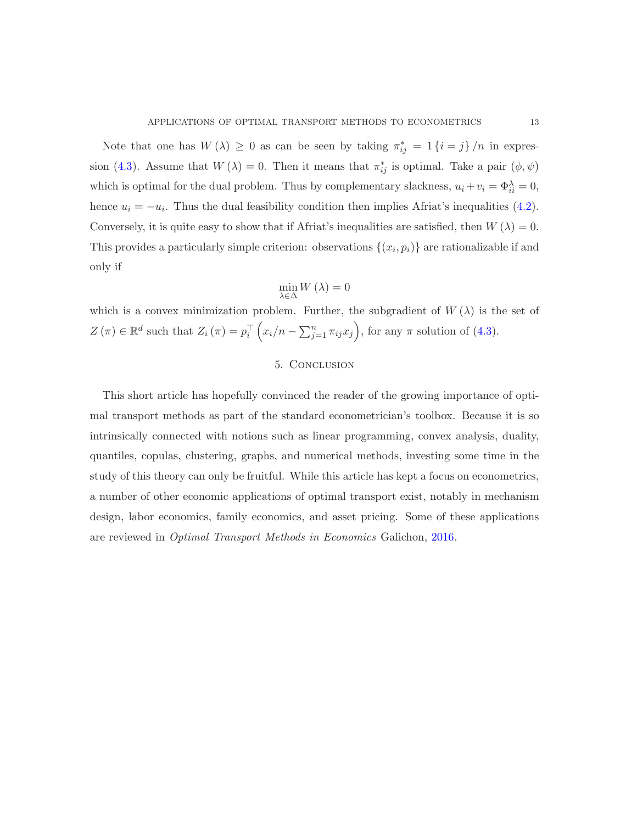Note that one has  $W(\lambda) \geq 0$  as can be seen by taking  $\pi_{ij}^* = 1$  { $i = j$ } /n in expres-sion [\(4.3\)](#page-11-1). Assume that  $W(\lambda) = 0$ . Then it means that  $\pi_{ij}^*$  is optimal. Take a pair  $(\phi, \psi)$ which is optimal for the dual problem. Thus by complementary slackness,  $u_i + v_i = \Phi_{ii}^{\lambda} = 0$ , hence  $u_i = -u_i$ . Thus the dual feasibility condition then implies Africat's inequalities [\(4.2\)](#page-11-2). Conversely, it is quite easy to show that if Afriat's inequalities are satisfied, then  $W(\lambda) = 0$ . This provides a particularly simple criterion: observations  $\{(x_i, p_i)\}\$  are rationalizable if and only if

$$
\min_{\lambda\in\Delta}W\left(\lambda\right)=0
$$

which is a convex minimization problem. Further, the subgradient of  $W(\lambda)$  is the set of  $Z(\pi) \in \mathbb{R}^d$  such that  $Z_i(\pi) = p_i^{\top} (x_i/n - \sum_{j=1}^n \pi_{ij} x_j)$ , for any  $\pi$  solution of [\(4.3\)](#page-11-1).

# 5. Conclusion

This short article has hopefully convinced the reader of the growing importance of optimal transport methods as part of the standard econometrician's toolbox. Because it is so intrinsically connected with notions such as linear programming, convex analysis, duality, quantiles, copulas, clustering, graphs, and numerical methods, investing some time in the study of this theory can only be fruitful. While this article has kept a focus on econometrics, a number of other economic applications of optimal transport exist, notably in mechanism design, labor economics, family economics, and asset pricing. Some of these applications are reviewed in *Optimal Transport Methods in Economics* Galichon, [2016](#page-14-1).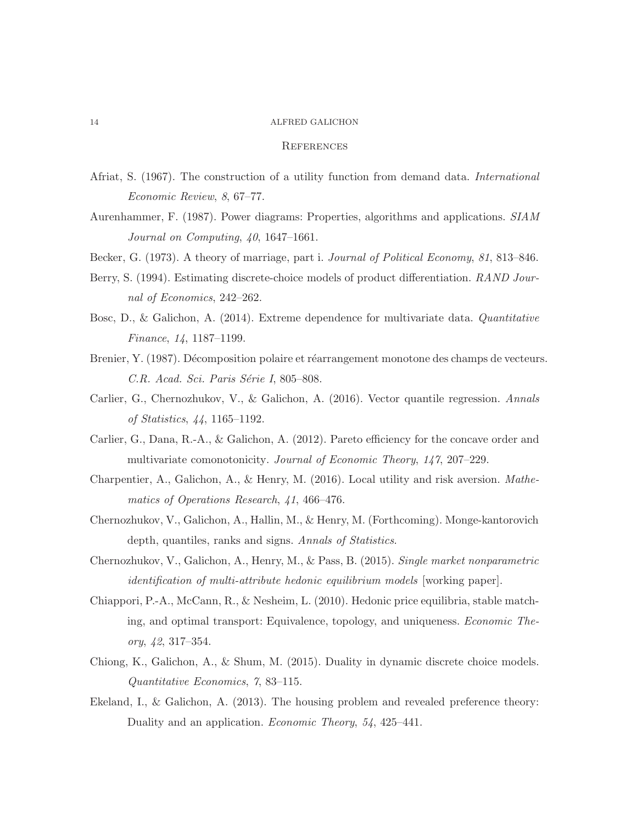#### **REFERENCES**

- <span id="page-13-12"></span><span id="page-13-2"></span>Afriat, S. (1967). The construction of a utility function from demand data. *International Economic Review*, *8*, 67–77.
- <span id="page-13-0"></span>Aurenhammer, F. (1987). Power diagrams: Properties, algorithms and applications. *SIAM Journal on Computing*, *40*, 1647–1661.
- <span id="page-13-4"></span>Becker, G. (1973). A theory of marriage, part i. *Journal of Political Economy*, *81*, 813–846.
- <span id="page-13-7"></span>Berry, S. (1994). Estimating discrete-choice models of product differentiation. *RAND Journal of Economics*, 242–262.
- <span id="page-13-3"></span>Bosc, D., & Galichon, A. (2014). Extreme dependence for multivariate data. *Quantitative Finance*, *14*, 1187–1199.
- <span id="page-13-11"></span>Brenier, Y. (1987). Décomposition polaire et réarrangement monotone des champs de vecteurs. *C.R. Acad. Sci. Paris Série I*, 805–808.
- <span id="page-13-9"></span>Carlier, G., Chernozhukov, V., & Galichon, A. (2016). Vector quantile regression. *Annals of Statistics*, *44*, 1165–1192.
- <span id="page-13-8"></span>Carlier, G., Dana, R.-A., & Galichon, A. (2012). Pareto efficiency for the concave order and multivariate comonotonicity. *Journal of Economic Theory*, *147*, 207–229.
- <span id="page-13-6"></span>Charpentier, A., Galichon, A., & Henry, M. (2016). Local utility and risk aversion. *Mathematics of Operations Research*, *41*, 466–476.
- <span id="page-13-10"></span>Chernozhukov, V., Galichon, A., Hallin, M., & Henry, M. (Forthcoming). Monge-kantorovich depth, quantiles, ranks and signs. *Annals of Statistics*.
- <span id="page-13-1"></span>Chernozhukov, V., Galichon, A., Henry, M., & Pass, B. (2015). *Single market nonparametric identification of multi-attribute hedonic equilibrium models* [working paper].
- Chiappori, P.-A., McCann, R., & Nesheim, L. (2010). Hedonic price equilibria, stable matching, and optimal transport: Equivalence, topology, and uniqueness. *Economic Theory*, *42*, 317–354.
- <span id="page-13-13"></span><span id="page-13-5"></span>Chiong, K., Galichon, A., & Shum, M. (2015). Duality in dynamic discrete choice models. *Quantitative Economics*, *7*, 83–115.
- Ekeland, I., & Galichon, A. (2013). The housing problem and revealed preference theory: Duality and an application. *Economic Theory*, *54*, 425–441.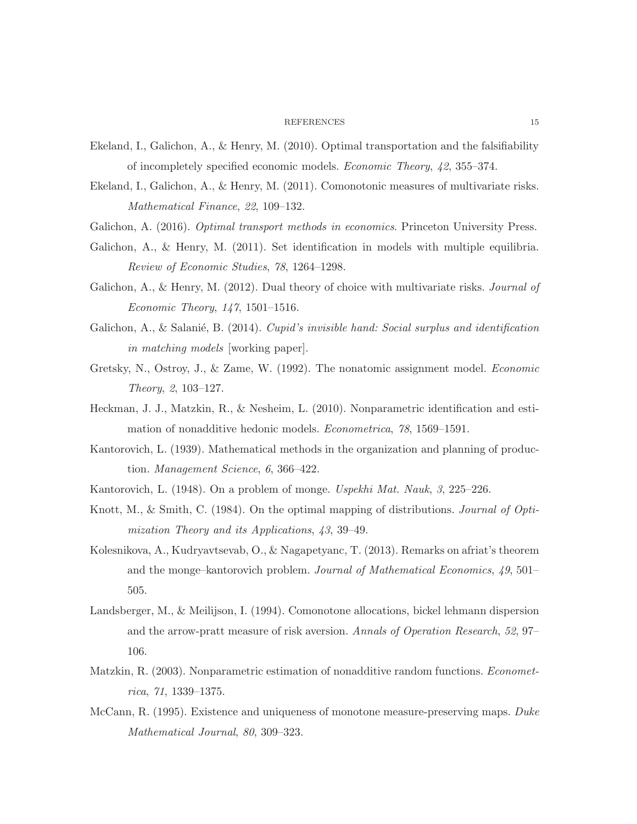#### REFERENCES 15

- <span id="page-14-13"></span><span id="page-14-7"></span>Ekeland, I., Galichon, A., & Henry, M. (2010). Optimal transportation and the falsifiability of incompletely specified economic models. *Economic Theory*, *42*, 355–374.
- <span id="page-14-1"></span>Ekeland, I., Galichon, A., & Henry, M. (2011). Comonotonic measures of multivariate risks. *Mathematical Finance*, *22*, 109–132.
- <span id="page-14-12"></span>Galichon, A. (2016). *Optimal transport methods in economics*. Princeton University Press.
- <span id="page-14-8"></span>Galichon, A., & Henry, M. (2011). Set identification in models with multiple equilibria. *Review of Economic Studies*, *78*, 1264–1298.
- <span id="page-14-6"></span>Galichon, A., & Henry, M. (2012). Dual theory of choice with multivariate risks. *Journal of Economic Theory*, *147*, 1501–1516.
- <span id="page-14-0"></span>Galichon, A., & Salanié, B. (2014). *Cupid's invisible hand: Social surplus and identification in matching models* [working paper].
- <span id="page-14-11"></span>Gretsky, N., Ostroy, J., & Zame, W. (1992). The nonatomic assignment model. *Economic Theory*, *2*, 103–127.
- <span id="page-14-2"></span>Heckman, J. J., Matzkin, R., & Nesheim, L. (2010). Nonparametric identification and estimation of nonadditive hedonic models. *Econometrica*, *78*, 1569–1591.
- <span id="page-14-3"></span>Kantorovich, L. (1939). Mathematical methods in the organization and planning of production. *Management Science*, *6*, 366–422.
- <span id="page-14-4"></span>Kantorovich, L. (1948). On a problem of monge. *Uspekhi Mat. Nauk*, *3*, 225–226.
- <span id="page-14-14"></span>Knott, M., & Smith, C. (1984). On the optimal mapping of distributions. *Journal of Optimization Theory and its Applications*, *43*, 39–49.
- Kolesnikova, A., Kudryavtsevab, O., & Nagapetyanc, T. (2013). Remarks on afriat's theorem and the monge–kantorovich problem. *Journal of Mathematical Economics*, *49*, 501– 505.
- <span id="page-14-9"></span>Landsberger, M., & Meilijson, I. (1994). Comonotone allocations, bickel lehmann dispersion and the arrow-pratt measure of risk aversion. *Annals of Operation Research*, *52*, 97– 106.
- <span id="page-14-10"></span><span id="page-14-5"></span>Matzkin, R. (2003). Nonparametric estimation of nonadditive random functions. *Econometrica*, *71*, 1339–1375.
- McCann, R. (1995). Existence and uniqueness of monotone measure-preserving maps. *Duke Mathematical Journal*, *80*, 309–323.